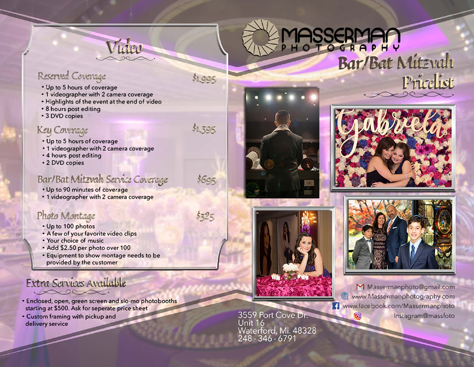

 $$1,995$ 

\$1,395

 $5695$ 

 $5325$ 

# HOTOGRAPH? *BarlBat l\litz, <sup>1</sup>ali*

## Reserved Coverage<br>. Up to 5 hours of coverage

- 
- **1 videographer with 2 camera coverage**
- **• Highlights of the event at the end of video**
- **8 hours post editing**
- **3 DVD copies**

### **Key Cowrage**

- **• Up to 5 hours of coverage**
- **1 videographer with 2 camera coverage**
- **4 hours post editing**
- **• 2 DVD copies**

### Bar/Bat Mitzvah Service Cerrerage

- **Up to 90 minutes of coverage**
- **1 videographer with 2 camera coverage**

### Photo Montage

- **• Up to 100 photos**
- **• A few of your favorite video clips**
- **• Your choice of music**
- **• Add \$2.50 per photo over 100**
- **• Equipment to show montage needs to be provided by the customer**

#### Extra Services Available Je de la Construction de la Constantiaction de la construction de la construction de la construction de la con

- **• Enclosed, open, green s creen and slo-mo photobooths starting a t \$ 500. Ask for s epera t e price sheet**
- **• Custom framing with pickup and delivery service**







a de la composición de la composición de la composición de la composición de la composición de la composición

� *ud.ist.* 



**M** Massermanphoto@gmail.com & www.Massermanphotography.com lfJ www.facebook.com/Massermanphoto lnstagram@massfoto ெ

3559 Port Cove Dr. Unit 16 Waterford, Mi. 48328<br>248 · 346 · 6791